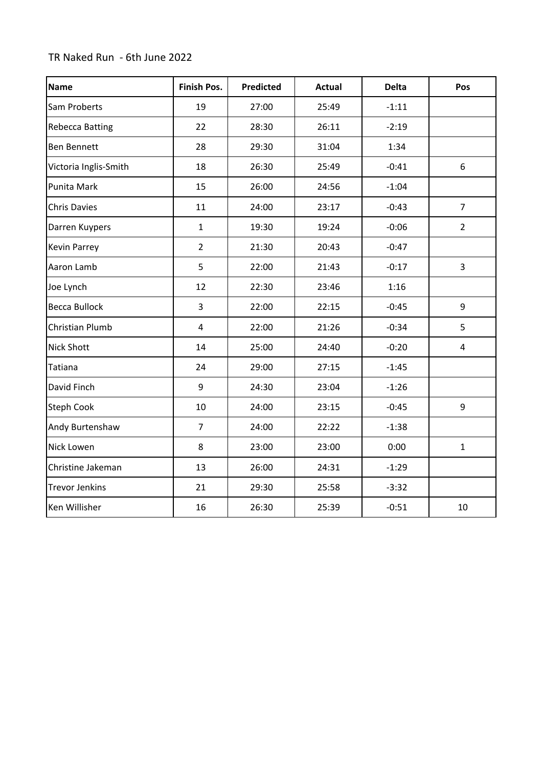## TR Naked Run - 6th June 2022

| <b>Name</b>            | <b>Finish Pos.</b>      | <b>Predicted</b> | <b>Actual</b> | <b>Delta</b> | Pos                     |
|------------------------|-------------------------|------------------|---------------|--------------|-------------------------|
| Sam Proberts           | 19                      | 27:00            | 25:49         | $-1:11$      |                         |
| <b>Rebecca Batting</b> | 22                      | 28:30            | 26:11         | $-2:19$      |                         |
| <b>Ben Bennett</b>     | 28                      | 29:30            | 31:04         | 1:34         |                         |
| Victoria Inglis-Smith  | 18                      | 26:30            | 25:49         | $-0:41$      | 6                       |
| Punita Mark            | 15                      | 26:00            | 24:56         | $-1:04$      |                         |
| <b>Chris Davies</b>    | 11                      | 24:00            | 23:17         | $-0:43$      | $\overline{7}$          |
| Darren Kuypers         | $\mathbf{1}$            | 19:30            | 19:24         | $-0:06$      | $\overline{2}$          |
| <b>Kevin Parrey</b>    | $\overline{2}$          | 21:30            | 20:43         | $-0:47$      |                         |
| Aaron Lamb             | 5                       | 22:00            | 21:43         | $-0:17$      | 3                       |
| Joe Lynch              | 12                      | 22:30            | 23:46         | 1:16         |                         |
| <b>Becca Bullock</b>   | $\overline{3}$          | 22:00            | 22:15         | $-0:45$      | 9                       |
| Christian Plumb        | $\overline{\mathbf{4}}$ | 22:00            | 21:26         | $-0:34$      | 5                       |
| <b>Nick Shott</b>      | 14                      | 25:00            | 24:40         | $-0:20$      | $\overline{\mathbf{4}}$ |
| <b>Tatiana</b>         | 24                      | 29:00            | 27:15         | $-1:45$      |                         |
| David Finch            | 9                       | 24:30            | 23:04         | $-1:26$      |                         |
| Steph Cook             | 10                      | 24:00            | 23:15         | $-0:45$      | 9                       |
| Andy Burtenshaw        | $\overline{7}$          | 24:00            | 22:22         | $-1:38$      |                         |
| Nick Lowen             | 8                       | 23:00            | 23:00         | 0:00         | $\mathbf{1}$            |
| Christine Jakeman      | 13                      | 26:00            | 24:31         | $-1:29$      |                         |
| <b>Trevor Jenkins</b>  | 21                      | 29:30            | 25:58         | $-3:32$      |                         |
| Ken Willisher          | 16                      | 26:30            | 25:39         | $-0:51$      | 10                      |